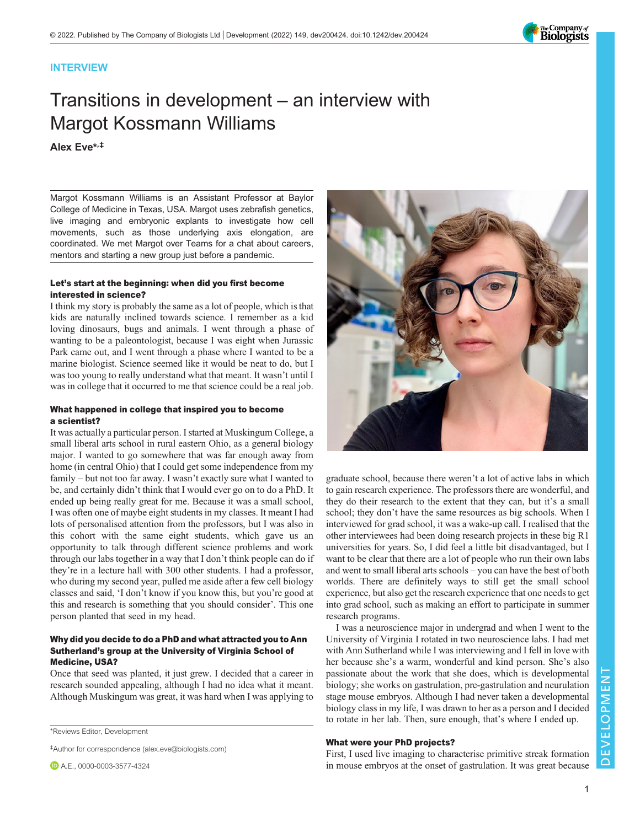

## INTERVIEW

# Transitions in development – an interview with Margot Kossmann Williams

## Alex Eve\* ,‡

Margot Kossmann Williams is an Assistant Professor at Baylor College of Medicine in Texas, USA. Margot uses zebrafish genetics, live imaging and embryonic explants to investigate how cell movements, such as those underlying axis elongation, are coordinated. We met Margot over Teams for a chat about careers, mentors and starting a new group just before a pandemic.

#### Let's start at the beginning: when did you first become interested in science?

I think my story is probably the same as a lot of people, which is that kids are naturally inclined towards science. I remember as a kid loving dinosaurs, bugs and animals. I went through a phase of wanting to be a paleontologist, because I was eight when Jurassic Park came out, and I went through a phase where I wanted to be a marine biologist. Science seemed like it would be neat to do, but I was too young to really understand what that meant. It wasn't until I was in college that it occurred to me that science could be a real job.

#### What happened in college that inspired you to become a scientist?

It was actually a particular person. I started at Muskingum College, a small liberal arts school in rural eastern Ohio, as a general biology major. I wanted to go somewhere that was far enough away from home (in central Ohio) that I could get some independence from my family – but not too far away. I wasn't exactly sure what I wanted to be, and certainly didn't think that I would ever go on to do a PhD. It ended up being really great for me. Because it was a small school, I was often one of maybe eight students in my classes. It meant I had lots of personalised attention from the professors, but I was also in this cohort with the same eight students, which gave us an opportunity to talk through different science problems and work through our labs together in a way that I don't think people can do if they're in a lecture hall with 300 other students. I had a professor, who during my second year, pulled me aside after a few cell biology classes and said, 'I don't know if you know this, but you're good at this and research is something that you should consider'. This one person planted that seed in my head.

## Why did you decide to do a PhD and what attracted you to Ann Sutherland's group at the University of Virginia School of Medicine, USA?

Once that seed was planted, it just grew. I decided that a career in research sounded appealing, although I had no idea what it meant. Although Muskingum was great, it was hard when I was applying to

\*Reviews Editor, Development

‡Author for correspondence ([alex.eve@biologists.com\)](mailto:alex.eve@biologists.com)



graduate school, because there weren't a lot of active labs in which to gain research experience. The professors there are wonderful, and they do their research to the extent that they can, but it's a small school; they don't have the same resources as big schools. When I interviewed for grad school, it was a wake-up call. I realised that the other interviewees had been doing research projects in these big R1 universities for years. So, I did feel a little bit disadvantaged, but I want to be clear that there are a lot of people who run their own labs and went to small liberal arts schools – you can have the best of both worlds. There are definitely ways to still get the small school experience, but also get the research experience that one needs to get into grad school, such as making an effort to participate in summer research programs.

I was a neuroscience major in undergrad and when I went to the University of Virginia I rotated in two neuroscience labs. I had met with Ann Sutherland while I was interviewing and I fell in love with her because she's a warm, wonderful and kind person. She's also passionate about the work that she does, which is developmental biology; she works on gastrulation, pre-gastrulation and neurulation stage mouse embryos. Although I had never taken a developmental biology class in my life, I was drawn to her as a person and I decided to rotate in her lab. Then, sure enough, that's where I ended up.

## What were your PhD projects?

First, I used live imaging to characterise primitive streak formation in mouse embryos at the onset of gastrulation. It was great because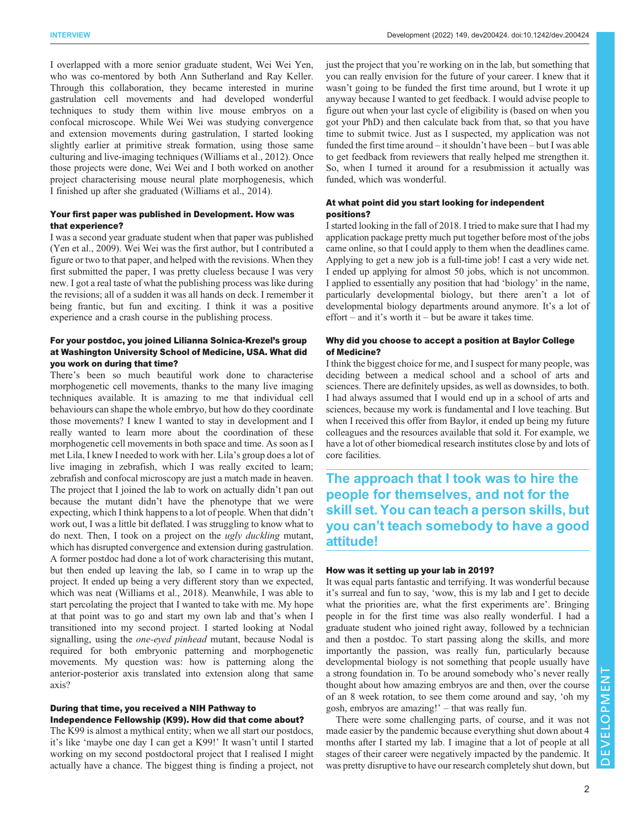I overlapped with a more senior graduate student, Wei Wei Yen, who was co-mentored by both Ann Sutherland and Ray Keller. Through this collaboration, they became interested in murine gastrulation cell movements and had developed wonderful techniques to study them within live mouse embryos on a confocal microscope. While Wei Wei was studying convergence and extension movements during gastrulation, I started looking slightly earlier at primitive streak formation, using those same culturing and live-imaging techniques [\(Williams et al., 2012\)](#page-3-0). Once those projects were done, Wei Wei and I both worked on another project characterising mouse neural plate morphogenesis, which I finished up after she graduated [\(Williams et al., 2014\)](#page-3-0).

#### Your first paper was published in Development. How was that experience?

I was a second year graduate student when that paper was published [\(Yen et al., 2009](#page-3-0)). Wei Wei was the first author, but I contributed a figure or two to that paper, and helped with the revisions. When they first submitted the paper, I was pretty clueless because I was very new. I got a real taste of what the publishing process was like during the revisions; all of a sudden it was all hands on deck. I remember it being frantic, but fun and exciting. I think it was a positive experience and a crash course in the publishing process.

## For your postdoc, you joined Lilianna Solnica-Krezel's group at Washington University School of Medicine, USA. What did you work on during that time?

There's been so much beautiful work done to characterise morphogenetic cell movements, thanks to the many live imaging techniques available. It is amazing to me that individual cell behaviours can shape the whole embryo, but how do they coordinate those movements? I knew I wanted to stay in development and I really wanted to learn more about the coordination of these morphogenetic cell movements in both space and time. As soon as I met Lila, I knew I needed to work with her. Lila's group does a lot of live imaging in zebrafish, which I was really excited to learn; zebrafish and confocal microscopy are just a match made in heaven. The project that I joined the lab to work on actually didn't pan out because the mutant didn't have the phenotype that we were expecting, which I think happens to a lot of people. When that didn't work out, I was a little bit deflated. I was struggling to know what to do next. Then, I took on a project on the ugly duckling mutant, which has disrupted convergence and extension during gastrulation. A former postdoc had done a lot of work characterising this mutant, but then ended up leaving the lab, so I came in to wrap up the project. It ended up being a very different story than we expected, which was neat ([Williams et al., 2018](#page-3-0)). Meanwhile, I was able to start percolating the project that I wanted to take with me. My hope at that point was to go and start my own lab and that's when I transitioned into my second project. I started looking at Nodal signalling, using the *one-eyed pinhead* mutant, because Nodal is required for both embryonic patterning and morphogenetic movements. My question was: how is patterning along the anterior-posterior axis translated into extension along that same axis?

## During that time, you received a NIH Pathway to Independence Fellowship (K99). How did that come about?

The K99 is almost a mythical entity; when we all start our postdocs, it's like 'maybe one day I can get a K99!' It wasn't until I started working on my second postdoctoral project that I realised I might actually have a chance. The biggest thing is finding a project, not

just the project that you're working on in the lab, but something that you can really envision for the future of your career. I knew that it wasn't going to be funded the first time around, but I wrote it up anyway because I wanted to get feedback. I would advise people to figure out when your last cycle of eligibility is (based on when you got your PhD) and then calculate back from that, so that you have time to submit twice. Just as I suspected, my application was not funded the first time around – it shouldn't have been – but I was able to get feedback from reviewers that really helped me strengthen it. So, when I turned it around for a resubmission it actually was funded, which was wonderful.

## At what point did you start looking for independent positions?

I started looking in the fall of 2018. I tried to make sure that I had my application package pretty much put together before most of the jobs came online, so that I could apply to them when the deadlines came. Applying to get a new job is a full-time job! I cast a very wide net. I ended up applying for almost 50 jobs, which is not uncommon. I applied to essentially any position that had 'biology' in the name, particularly developmental biology, but there aren't a lot of developmental biology departments around anymore. It's a lot of effort – and it's worth it – but be aware it takes time.

## Why did you choose to accept a position at Baylor College of Medicine?

I think the biggest choice for me, and I suspect for many people, was deciding between a medical school and a school of arts and sciences. There are definitely upsides, as well as downsides, to both. I had always assumed that I would end up in a school of arts and sciences, because my work is fundamental and I love teaching. But when I received this offer from Baylor, it ended up being my future colleagues and the resources available that sold it. For example, we have a lot of other biomedical research institutes close by and lots of core facilities.

The approach that I took was to hire the people for themselves, and not for the skill set. You can teach a person skills, but you can't teach somebody to have a good attitude!

## How was it setting up your lab in 2019?

It was equal parts fantastic and terrifying. It was wonderful because it's surreal and fun to say, 'wow, this is my lab and I get to decide what the priorities are, what the first experiments are'. Bringing people in for the first time was also really wonderful. I had a graduate student who joined right away, followed by a technician and then a postdoc. To start passing along the skills, and more importantly the passion, was really fun, particularly because developmental biology is not something that people usually have a strong foundation in. To be around somebody who's never really thought about how amazing embryos are and then, over the course of an 8 week rotation, to see them come around and say, 'oh my gosh, embryos are amazing!' – that was really fun.

There were some challenging parts, of course, and it was not made easier by the pandemic because everything shut down about 4 months after I started my lab. I imagine that a lot of people at all stages of their career were negatively impacted by the pandemic. It was pretty disruptive to have our research completely shut down, but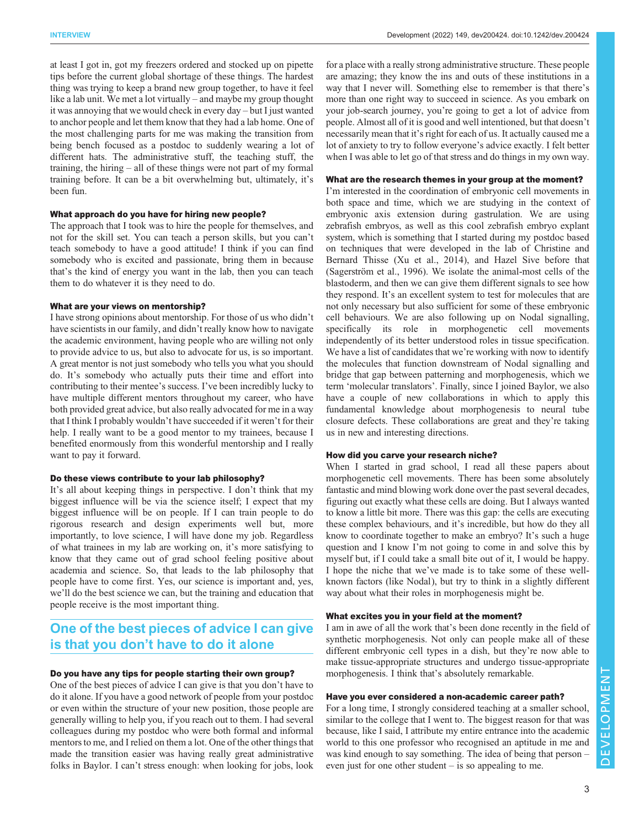at least I got in, got my freezers ordered and stocked up on pipette tips before the current global shortage of these things. The hardest thing was trying to keep a brand new group together, to have it feel like a lab unit. We met a lot virtually – and maybe my group thought it was annoying that we would check in every day – but I just wanted to anchor people and let them know that they had a lab home. One of the most challenging parts for me was making the transition from being bench focused as a postdoc to suddenly wearing a lot of different hats. The administrative stuff, the teaching stuff, the training, the hiring – all of these things were not part of my formal training before. It can be a bit overwhelming but, ultimately, it's been fun.

#### What approach do you have for hiring new people?

The approach that I took was to hire the people for themselves, and not for the skill set. You can teach a person skills, but you can't teach somebody to have a good attitude! I think if you can find somebody who is excited and passionate, bring them in because that's the kind of energy you want in the lab, then you can teach them to do whatever it is they need to do.

#### What are your views on mentorship?

I have strong opinions about mentorship. For those of us who didn't have scientists in our family, and didn't really know how to navigate the academic environment, having people who are willing not only to provide advice to us, but also to advocate for us, is so important. A great mentor is not just somebody who tells you what you should do. It's somebody who actually puts their time and effort into contributing to their mentee's success. I've been incredibly lucky to have multiple different mentors throughout my career, who have both provided great advice, but also really advocated for me in a way that I think I probably wouldn't have succeeded if it weren't for their help. I really want to be a good mentor to my trainees, because I benefited enormously from this wonderful mentorship and I really want to pay it forward.

#### Do these views contribute to your lab philosophy?

It's all about keeping things in perspective. I don't think that my biggest influence will be via the science itself; I expect that my biggest influence will be on people. If I can train people to do rigorous research and design experiments well but, more importantly, to love science, I will have done my job. Regardless of what trainees in my lab are working on, it's more satisfying to know that they came out of grad school feeling positive about academia and science. So, that leads to the lab philosophy that people have to come first. Yes, our science is important and, yes, we'll do the best science we can, but the training and education that people receive is the most important thing.

# One of the best pieces of advice I can give is that you don't have to do it alone

## Do you have any tips for people starting their own group?

One of the best pieces of advice I can give is that you don't have to do it alone. If you have a good network of people from your postdoc or even within the structure of your new position, those people are generally willing to help you, if you reach out to them. I had several colleagues during my postdoc who were both formal and informal mentors to me, and I relied on them a lot. One of the other things that made the transition easier was having really great administrative folks in Baylor. I can't stress enough: when looking for jobs, look

for a place with a really strong administrative structure. These people are amazing; they know the ins and outs of these institutions in a way that I never will. Something else to remember is that there's more than one right way to succeed in science. As you embark on your job-search journey, you're going to get a lot of advice from people. Almost all of it is good and well intentioned, but that doesn't necessarily mean that it's right for each of us. It actually caused me a lot of anxiety to try to follow everyone's advice exactly. I felt better when I was able to let go of that stress and do things in my own way.

## What are the research themes in your group at the moment?

I'm interested in the coordination of embryonic cell movements in both space and time, which we are studying in the context of embryonic axis extension during gastrulation. We are using zebrafish embryos, as well as this cool zebrafish embryo explant system, which is something that I started during my postdoc based on techniques that were developed in the lab of Christine and Bernard Thisse ([Xu et al., 2014\)](#page-3-0), and Hazel Sive before that [\(Sagerström et al., 1996\)](#page-3-0). We isolate the animal-most cells of the blastoderm, and then we can give them different signals to see how they respond. It's an excellent system to test for molecules that are not only necessary but also sufficient for some of these embryonic cell behaviours. We are also following up on Nodal signalling, specifically its role in morphogenetic cell movements independently of its better understood roles in tissue specification. We have a list of candidates that we're working with now to identify the molecules that function downstream of Nodal signalling and bridge that gap between patterning and morphogenesis, which we term 'molecular translators'. Finally, since I joined Baylor, we also have a couple of new collaborations in which to apply this fundamental knowledge about morphogenesis to neural tube closure defects. These collaborations are great and they're taking us in new and interesting directions.

## How did you carve your research niche?

When I started in grad school, I read all these papers about morphogenetic cell movements. There has been some absolutely fantastic and mind blowing work done over the past several decades, figuring out exactly what these cells are doing. But I always wanted to know a little bit more. There was this gap: the cells are executing these complex behaviours, and it's incredible, but how do they all know to coordinate together to make an embryo? It's such a huge question and I know I'm not going to come in and solve this by myself but, if I could take a small bite out of it, I would be happy. I hope the niche that we've made is to take some of these wellknown factors (like Nodal), but try to think in a slightly different way about what their roles in morphogenesis might be.

## What excites you in your field at the moment?

I am in awe of all the work that's been done recently in the field of synthetic morphogenesis. Not only can people make all of these different embryonic cell types in a dish, but they're now able to make tissue-appropriate structures and undergo tissue-appropriate morphogenesis. I think that's absolutely remarkable.

## Have you ever considered a non-academic career path?

For a long time, I strongly considered teaching at a smaller school, similar to the college that I went to. The biggest reason for that was because, like I said, I attribute my entire entrance into the academic world to this one professor who recognised an aptitude in me and was kind enough to say something. The idea of being that person – even just for one other student – is so appealing to me.